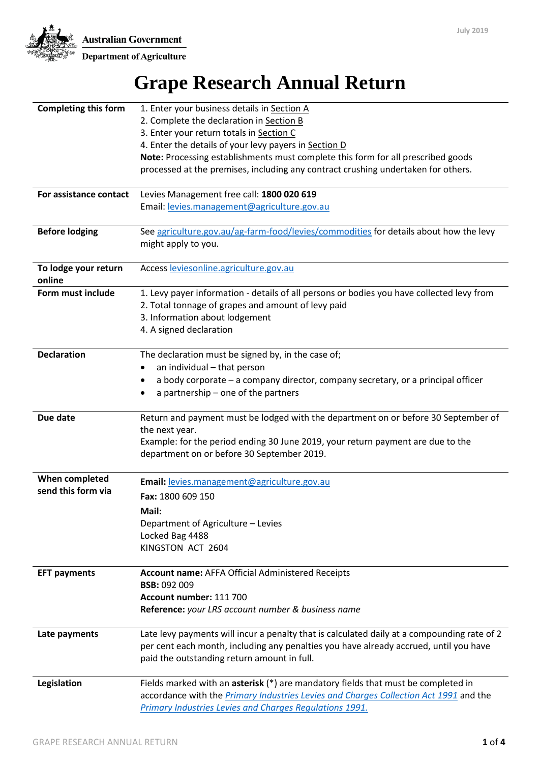

| <b>Completing this form</b>    | 1. Enter your business details in Section A<br>2. Complete the declaration in Section B      |
|--------------------------------|----------------------------------------------------------------------------------------------|
|                                | 3. Enter your return totals in Section C                                                     |
|                                | 4. Enter the details of your levy payers in Section D                                        |
|                                | Note: Processing establishments must complete this form for all prescribed goods             |
|                                | processed at the premises, including any contract crushing undertaken for others.            |
| For assistance contact         | Levies Management free call: 1800 020 619                                                    |
|                                | Email: levies.management@agriculture.gov.au                                                  |
| <b>Before lodging</b>          | See agriculture.gov.au/ag-farm-food/levies/commodities for details about how the levy        |
|                                | might apply to you.                                                                          |
| To lodge your return<br>online | Access leviesonline.agriculture.gov.au                                                       |
| Form must include              | 1. Levy payer information - details of all persons or bodies you have collected levy from    |
|                                | 2. Total tonnage of grapes and amount of levy paid                                           |
|                                | 3. Information about lodgement                                                               |
|                                | 4. A signed declaration                                                                      |
| <b>Declaration</b>             | The declaration must be signed by, in the case of;                                           |
|                                | an individual - that person                                                                  |
|                                | a body corporate - a company director, company secretary, or a principal officer             |
|                                | a partnership - one of the partners                                                          |
| Due date                       | Return and payment must be lodged with the department on or before 30 September of           |
|                                | the next year.                                                                               |
|                                | Example: for the period ending 30 June 2019, your return payment are due to the              |
|                                | department on or before 30 September 2019.                                                   |
| When completed                 | Email: levies.management@agriculture.gov.au                                                  |
| send this form via             | Fax: 1800 609 150                                                                            |
|                                | Mail:                                                                                        |
|                                | Department of Agriculture - Levies                                                           |
|                                | Locked Bag 4488                                                                              |
|                                |                                                                                              |
|                                | KINGSTON ACT 2604                                                                            |
| <b>EFT payments</b>            | <b>Account name: AFFA Official Administered Receipts</b>                                     |
|                                | <b>BSB: 092 009</b>                                                                          |
|                                | Account number: 111 700                                                                      |
|                                | Reference: your LRS account number & business name                                           |
| Late payments                  | Late levy payments will incur a penalty that is calculated daily at a compounding rate of 2  |
|                                | per cent each month, including any penalties you have already accrued, until you have        |
|                                | paid the outstanding return amount in full.                                                  |
| Legislation                    | Fields marked with an asterisk (*) are mandatory fields that must be completed in            |
|                                | accordance with the <i>Primary Industries Levies and Charges Collection Act 1991</i> and the |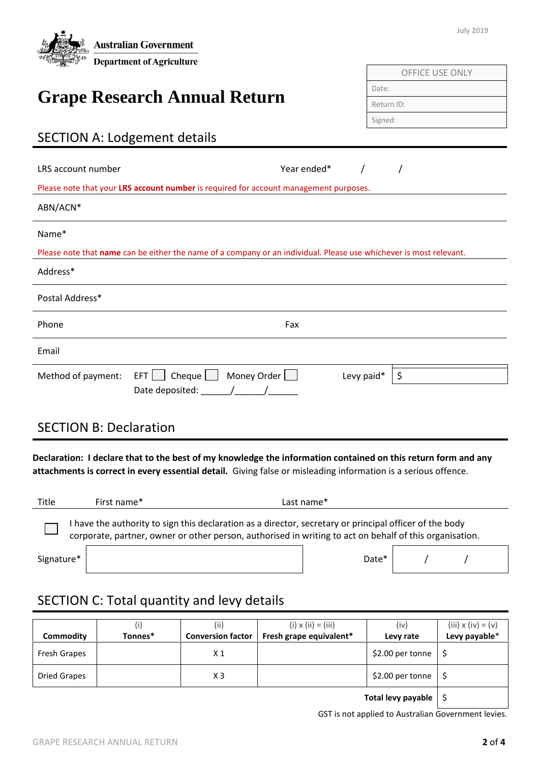| <b>Australian Government</b>                                                                                                                                                                                                                                                                                                                                                                                      |                  | <b>July 2019</b>       |
|-------------------------------------------------------------------------------------------------------------------------------------------------------------------------------------------------------------------------------------------------------------------------------------------------------------------------------------------------------------------------------------------------------------------|------------------|------------------------|
| <b>Department of Agriculture</b>                                                                                                                                                                                                                                                                                                                                                                                  |                  |                        |
|                                                                                                                                                                                                                                                                                                                                                                                                                   |                  | <b>OFFICE USE ONLY</b> |
|                                                                                                                                                                                                                                                                                                                                                                                                                   |                  | Date:                  |
| <b>Grape Research Annual Return</b>                                                                                                                                                                                                                                                                                                                                                                               |                  | Return ID:             |
|                                                                                                                                                                                                                                                                                                                                                                                                                   |                  | Signed:                |
| <b>SECTION A: Lodgement details</b>                                                                                                                                                                                                                                                                                                                                                                               |                  |                        |
|                                                                                                                                                                                                                                                                                                                                                                                                                   |                  |                        |
| LRS account number                                                                                                                                                                                                                                                                                                                                                                                                | Year ended*<br>7 |                        |
| Please note that your LRS account number is required for account management purposes.                                                                                                                                                                                                                                                                                                                             |                  |                        |
| ABN/ACN*                                                                                                                                                                                                                                                                                                                                                                                                          |                  |                        |
| Name*                                                                                                                                                                                                                                                                                                                                                                                                             |                  |                        |
| Please note that name can be either the name of a company or an individual. Please use whichever is most relevant.                                                                                                                                                                                                                                                                                                |                  |                        |
| Address*                                                                                                                                                                                                                                                                                                                                                                                                          |                  |                        |
| Postal Address*                                                                                                                                                                                                                                                                                                                                                                                                   |                  |                        |
| Phone                                                                                                                                                                                                                                                                                                                                                                                                             | Fax              |                        |
| Email                                                                                                                                                                                                                                                                                                                                                                                                             |                  |                        |
| $EFT$ $\Box$ Cheque $\Box$ Money Order $\Box$<br>Method of payment:                                                                                                                                                                                                                                                                                                                                               | Levy paid*       | \$                     |
| Date deposited: $\frac{1}{\sqrt{1-\frac{1}{2}}}\frac{1}{\sqrt{1-\frac{1}{2}}}\frac{1}{\sqrt{1-\frac{1}{2}}}\frac{1}{\sqrt{1-\frac{1}{2}}}\frac{1}{\sqrt{1-\frac{1}{2}}}\frac{1}{\sqrt{1-\frac{1}{2}}}\frac{1}{\sqrt{1-\frac{1}{2}}}\frac{1}{\sqrt{1-\frac{1}{2}}}\frac{1}{\sqrt{1-\frac{1}{2}}}\frac{1}{\sqrt{1-\frac{1}{2}}}\frac{1}{\sqrt{1-\frac{1}{2}}}\frac{1}{\sqrt{1-\frac{1}{2}}}\frac{1}{\sqrt{1-\frac{$ |                  |                        |
|                                                                                                                                                                                                                                                                                                                                                                                                                   |                  |                        |
| <b>SECTION B: Declaration</b>                                                                                                                                                                                                                                                                                                                                                                                     |                  |                        |
| Declaration: I declare that to the best of my knowledge the information contained on this return form and any<br>attachments is correct in every essential detail. Giving false or misleading information is a serious offence.                                                                                                                                                                                   |                  |                        |
| First name*<br>Title                                                                                                                                                                                                                                                                                                                                                                                              | Last name*       |                        |

I have the authority to sign this declaration as a director, secretary or principal officer of the body  $\overline{\phantom{a}}$ corporate, partner, owner or other person, authorised in writing to act on behalf of this organisation.

Signature\*  $\vert$  /  $\vert$  /  $\vert$  /  $\vert$  /  $\vert$  /  $\vert$  /  $\vert$  /  $\vert$  /  $\vert$  /  $\vert$  /  $\vert$  /  $\vert$  /  $\vert$  /  $\vert$  /  $\vert$  /  $\vert$  /  $\vert$  /  $\vert$  /  $\vert$  /  $\vert$  /  $\vert$  /  $\vert$  /  $\vert$  /  $\vert$  /  $\vert$  /  $\vert$  /  $\vert$  /  $\vert$  /  $\vert$  /  $\vert$  /

# SECTION C: Total quantity and levy details

|                     |         | (iii)                    | $(i) \times (ii) = (iii)$ | (iv)             | $(iii) \times (iv) = (v)$ |
|---------------------|---------|--------------------------|---------------------------|------------------|---------------------------|
| <b>Commodity</b>    | Tonnes* | <b>Conversion factor</b> | Fresh grape equivalent*   | Levy rate        | Levy payable*             |
| Fresh Grapes        |         | X 1                      |                           | \$2.00 per tonne |                           |
| <b>Dried Grapes</b> |         | XЗ                       |                           | \$2.00 per tonne |                           |
|                     |         |                          |                           |                  |                           |

**Total levy payable** | \$

GST is not applied to Australian Government levies.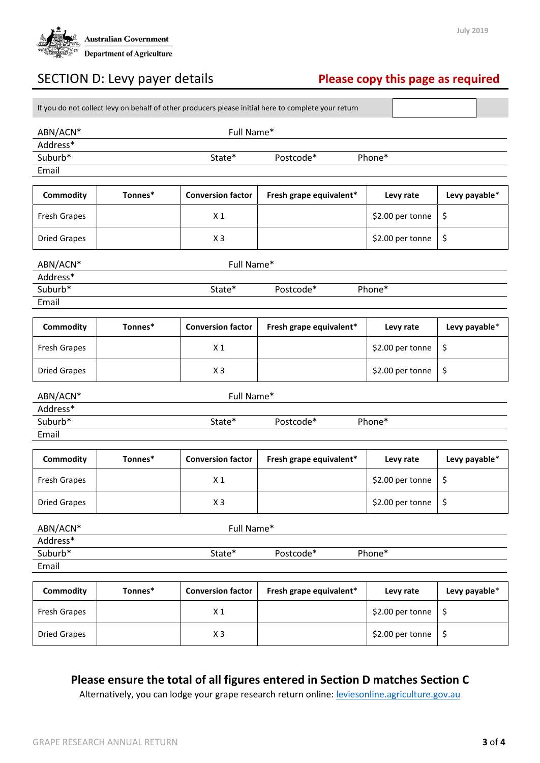

# SECTION D: Levy payer details **Please copy this page as required**

| If you do not collect levy on behalf of other producers please initial here to complete your return |            |                          |                         |                  |               |  |  |  |
|-----------------------------------------------------------------------------------------------------|------------|--------------------------|-------------------------|------------------|---------------|--|--|--|
| ABN/ACN*                                                                                            | Full Name* |                          |                         |                  |               |  |  |  |
| Address*                                                                                            |            |                          |                         |                  |               |  |  |  |
| Suburb*                                                                                             |            | State*                   | Postcode*               | Phone*           |               |  |  |  |
| Email                                                                                               |            |                          |                         |                  |               |  |  |  |
| Commodity                                                                                           | Tonnes*    | <b>Conversion factor</b> | Fresh grape equivalent* | Levy rate        | Levy payable* |  |  |  |
| Fresh Grapes                                                                                        |            | X <sub>1</sub>           |                         | \$2.00 per tonne | \$            |  |  |  |
| <b>Dried Grapes</b>                                                                                 |            | $X_3$                    |                         | \$2.00 per tonne | \$            |  |  |  |
| ABN/ACN*                                                                                            |            | Full Name*               |                         |                  |               |  |  |  |
| Address*                                                                                            |            |                          |                         |                  |               |  |  |  |
| Suburb*                                                                                             |            | State*                   | Postcode*               | Phone*           |               |  |  |  |
| Email                                                                                               |            |                          |                         |                  |               |  |  |  |
| Commodity                                                                                           | Tonnes*    | <b>Conversion factor</b> | Fresh grape equivalent* | Levy rate        | Levy payable* |  |  |  |
| Fresh Grapes                                                                                        |            | X <sub>1</sub>           |                         | \$2.00 per tonne | \$            |  |  |  |
| <b>Dried Grapes</b>                                                                                 |            | $X_3$                    |                         | \$2.00 per tonne | \$            |  |  |  |
| ABN/ACN*                                                                                            | Full Name* |                          |                         |                  |               |  |  |  |
| Address*                                                                                            |            |                          |                         |                  |               |  |  |  |
| Suburb*<br>Email                                                                                    |            | State*                   | Postcode*               | Phone*           |               |  |  |  |
|                                                                                                     |            |                          |                         |                  |               |  |  |  |
| Commodity                                                                                           | Tonnes*    | <b>Conversion factor</b> | Fresh grape equivalent* | Levy rate        | Levy payable* |  |  |  |
| Fresh Grapes                                                                                        |            | X <sub>1</sub>           |                         | \$2.00 per tonne | \$            |  |  |  |
| <b>Dried Grapes</b>                                                                                 |            | $X_3$                    |                         | \$2.00 per tonne | \$            |  |  |  |
| ABN/ACN*                                                                                            | Full Name* |                          |                         |                  |               |  |  |  |
| Address*                                                                                            |            |                          |                         |                  |               |  |  |  |
| Suburb*                                                                                             |            | State*                   | Postcode*               | Phone*           |               |  |  |  |
| Email                                                                                               |            |                          |                         |                  |               |  |  |  |
| Commodity                                                                                           | Tonnes*    | <b>Conversion factor</b> | Fresh grape equivalent* | Levy rate        | Levy payable* |  |  |  |
| Fresh Grapes                                                                                        |            | X <sub>1</sub>           |                         | \$2.00 per tonne | \$            |  |  |  |
| <b>Dried Grapes</b>                                                                                 |            | $X_3$                    |                         | \$2.00 per tonne | \$            |  |  |  |

### **Please ensure the total of all figures entered in Section D matches Section C**

Alternatively, you can lodge your grape research return online[: leviesonline.agriculture.gov.au](https://leviesonline.agriculture.gov.au/)